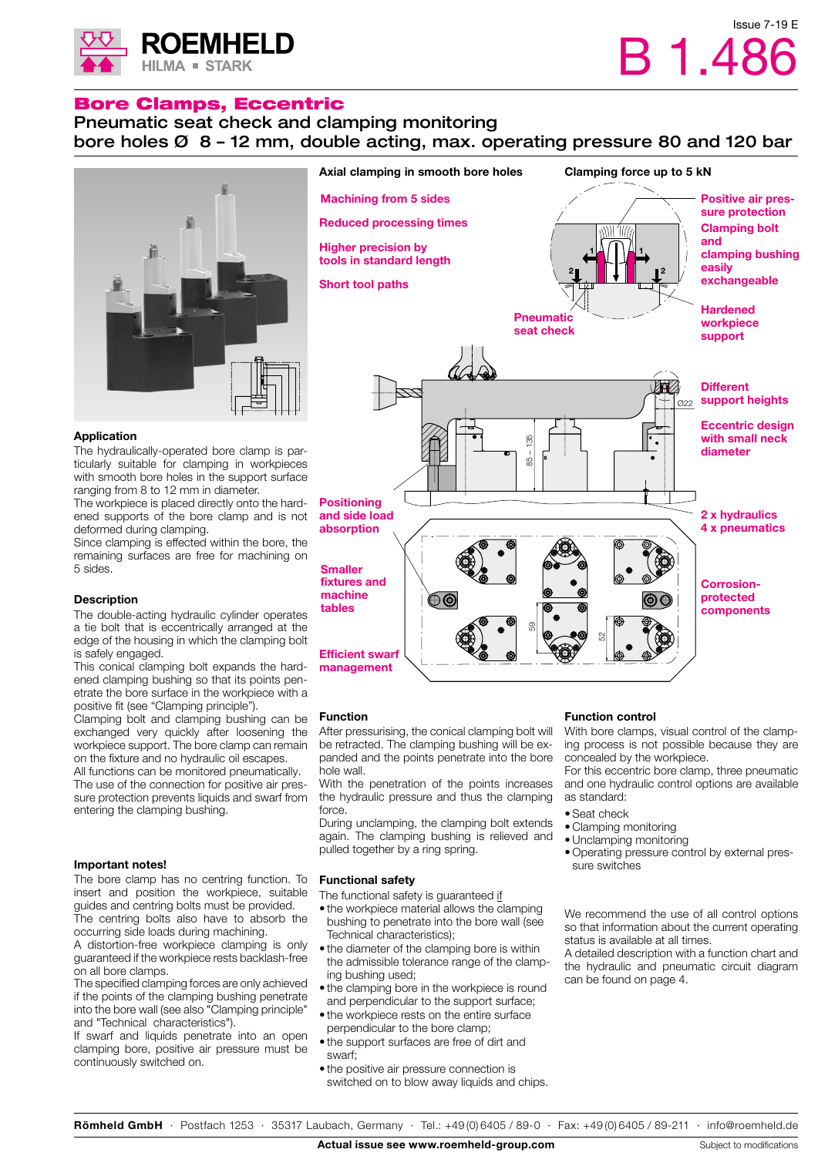

## Bore Clamps, Eccentric

## Pneumatic seat check and clamping monitoring bore holes Ø 8 – 12 mm, double acting, max. operating pressure 80 and 120 bar



#### Axial clamping in smooth bore holes Clamping force up to 5 kN Machining from 5 sidesPositive air pressure protection Reduced processing times Clamping bolt and Higher precision by 1 | | | | | | 1 clamping bushing tools in standard length easily 2 | | | | | | | | | 12 exchangeable Short tool paths Hardened **Pneumatic** workpiece seat check support **Different** И support heights Ø22 Eccentric design with small neck 85 – 135 diameter Positioning and side load 2 x hydraulics absorption 4 x pneumatics **Smaller** fixtures and Corrosionmachine protected  $\bigoplus$ tables components 8 52 Efficient swarf

#### Application

The hydraulically-operated bore clamp is particularly suitable for clamping in workpieces with smooth bore holes in the support surface ranging from 8 to 12 mm in diameter.

The workpiece is placed directly onto the hardened supports of the bore clamp and is not deformed during clamping.

Since clamping is effected within the bore, the remaining surfaces are free for machining on 5 sides.

#### **Description**

The double-acting hydraulic cylinder operates a tie bolt that is eccentrically arranged at the edge of the housing in which the clamping bolt is safely engaged.

This conical clamping bolt expands the hardened clamping bushing so that its points penetrate the bore surface in the workpiece with a positive fit (see "Clamping principle").

Clamping bolt and clamping bushing can be exchanged very quickly after loosening the workpiece support. The bore clamp can remain on the fixture and no hydraulic oil escapes.

All functions can be monitored pneumatically. The use of the connection for positive air pressure protection prevents liquids and swarf from entering the clamping bushing.

#### Important notes!

The bore clamp has no centring function. To insert and position the workpiece, suitable guides and centring bolts must be provided. The centring bolts also have to absorb the occurring side loads during machining.

A distortion-free workpiece clamping is only guaranteed if the workpiece rests backlash-free on all bore clamps.

The specified clamping forces are only achieved if the points of the clamping bushing penetrate into the bore wall (see also "Clamping principle" and "Technical characteristics").

If swarf and liquids penetrate into an open clamping bore, positive air pressure must be continuously switched on.

#### Function

management

After pressurising, the conical clamping bolt will be retracted. The clamping bushing will be expanded and the points penetrate into the bore hole wall.

With the penetration of the points increases the hydraulic pressure and thus the clamping force.

During unclamping, the clamping bolt extends again. The clamping bushing is relieved and pulled together by a ring spring.

#### Functional safety

The functional safety is guaranteed if

- the workpiece material allows the clamping bushing to penetrate into the bore wall (see Technical characteristics);
- the diameter of the clamping bore is within the admissible tolerance range of the clamping bushing used;
- the clamping bore in the workpiece is round and perpendicular to the support surface;
- the workpiece rests on the entire surface perpendicular to the bore clamp;
- the support surfaces are free of dirt and swarf;
- the positive air pressure connection is switched on to blow away liquids and chips.

## Function control

With bore clamps, visual control of the clamping process is not possible because they are concealed by the workpiece.

For this eccentric bore clamp, three pneumatic and one hydraulic control options are available as standard:

- Seat check
- Clamping monitoring
- •Unclamping monitoring
- Operating pressure control by external pressure switches

We recommend the use of all control options so that information about the current operating status is available at all times.

A detailed description with a function chart and the hydraulic and pneumatic circuit diagram can be found on page 4.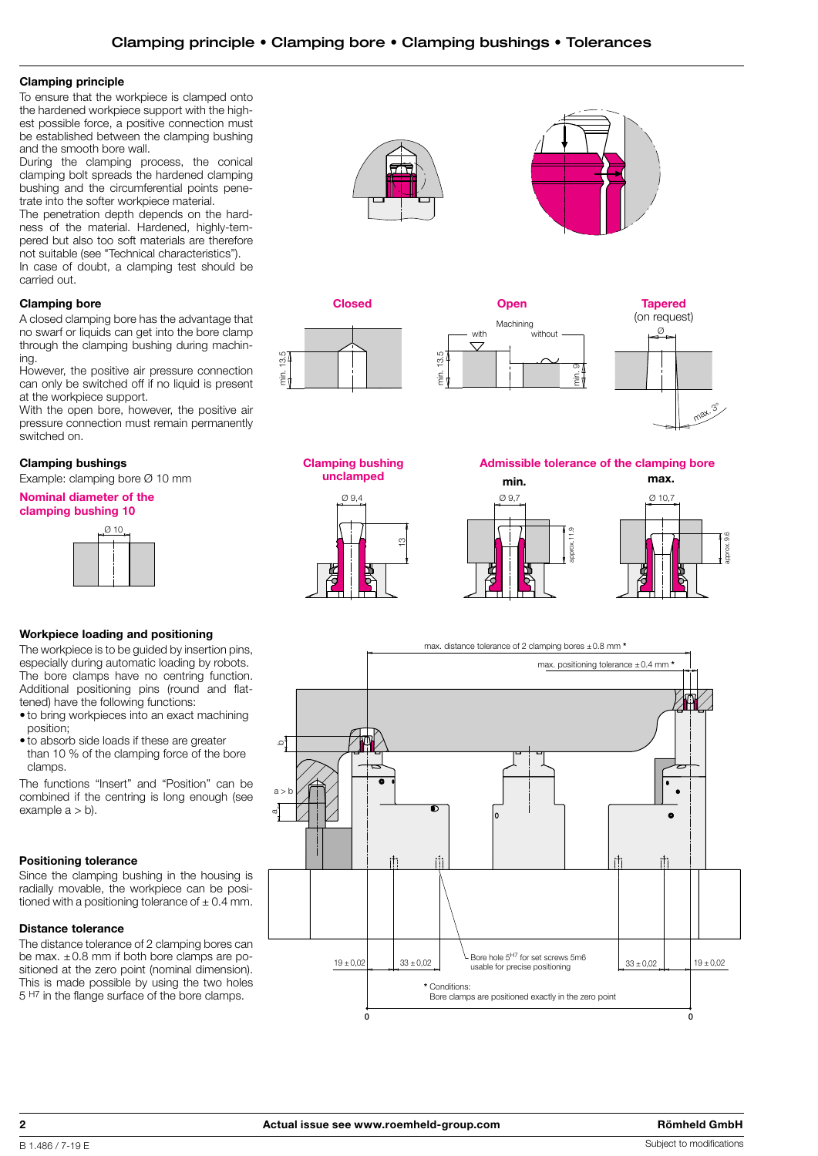#### Clamping principle

To ensure that the workpiece is clamped onto the hardened workpiece support with the highest possible force, a positive connection must be established between the clamping bushing and the smooth bore wall.

During the clamping process, the conical clamping bolt spreads the hardened clamping bushing and the circumferential points penetrate into the softer workpiece material.

The penetration depth depends on the hardness of the material. Hardened, highly-tempered but also too soft materials are therefore not suitable (see "Technical characteristics"). In case of doubt, a clamping test should be carried out.

## Clamping bore

A closed clamping bore has the advantage that no swarf or liquids can get into the bore clamp through the clamping bushing during machining.

However, the positive air pressure connection can only be switched off if no liquid is present at the workpiece support.

With the open bore, however, the positive air pressure connection must remain permanently switched on.

## Clamping bushings

Example: clamping bore Ø 10 mm

Nominal diameter of the

# clamping bushing 10



## Workpiece loading and positioning

The workpiece is to be guided by insertion pins, especially during automatic loading by robots. The bore clamps have no centring function. Additional positioning pins (round and flattened) have the following functions:

- to bring workpieces into an exact machining position;
- to absorb side loads if these are greater than 10 % of the clamping force of the bore clamps.

The functions "Insert" and "Position" can be combined if the centring is long enough (see example  $a > b$ ).

## Positioning tolerance

Since the clamping bushing in the housing is radially movable, the workpiece can be positioned with a positioning tolerance of  $\pm$  0.4 mm.

## Distance tolerance

The distance tolerance of 2 clamping bores can be max.  $\pm 0.8$  mm if both bore clamps are positioned at the zero point (nominal dimension). This is made possible by using the two holes 5 H7 in the flange surface of the bore clamps.











Clamping bushing unclamped



Admissible tolerance of the clamping bore





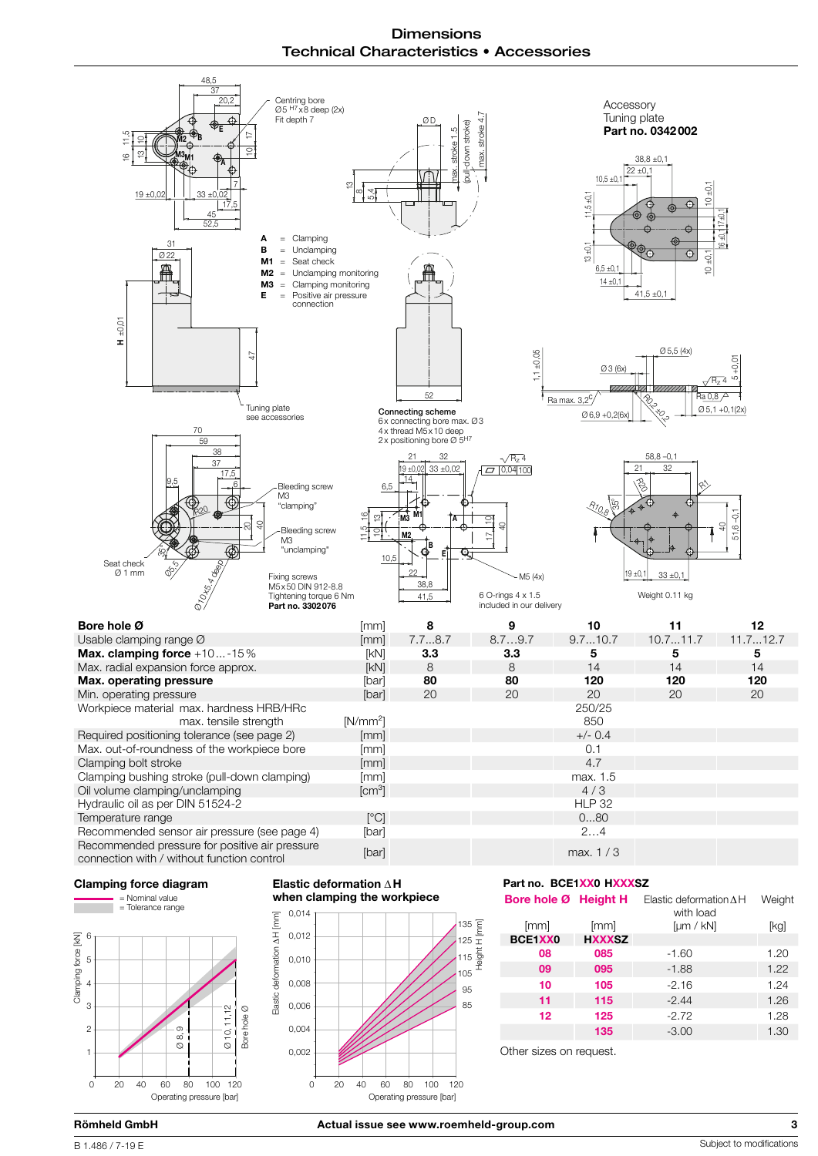**Dimensions** Technical Characteristics • Accessories







#### Elastic deformation ∆ H when clamping the workpiece



## Part no. BCE1XX0 HXXXSZ

| Bore hole Ø Height H |               | Elastic deformation $\Delta H$<br>with load | Weight |
|----------------------|---------------|---------------------------------------------|--------|
| [mm]                 | [mm]          | [µm / kN]                                   | [kg]   |
| BCE1XX0              | <b>HXXXSZ</b> |                                             |        |
| 08                   | 085           | $-1.60$                                     | 1.20   |
| 09                   | 095           | $-1.88$                                     | 1.22   |
| 10                   | 105           | $-2.16$                                     | 1.24   |
| 11                   | 115           | $-2.44$                                     | 1.26   |
| 12                   | 125           | $-2.72$                                     | 1.28   |
|                      | 135           | $-3.00$                                     | 1.30   |
|                      |               |                                             |        |

Other sizes on request.